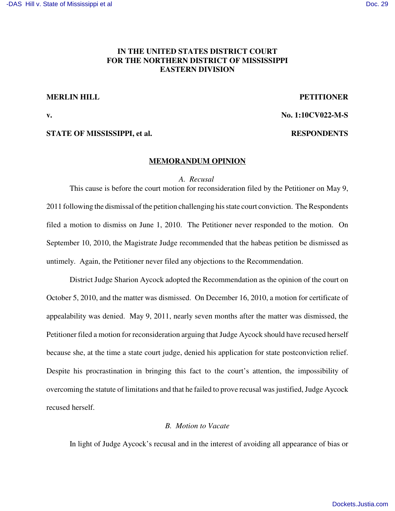# **IN THE UNITED STATES DISTRICT COURT FOR THE NORTHERN DISTRICT OF MISSISSIPPI EASTERN DIVISION**

## **MERLIN HILL PETITIONER**

**v. No. 1:10CV022-M-S**

## **STATE OF MISSISSIPPI, et al. RESPONDENTS**

## **MEMORANDUM OPINION**

### *A. Recusal*

This cause is before the court motion for reconsideration filed by the Petitioner on May 9, 2011 following the dismissal of the petition challenging his state court conviction. The Respondents filed a motion to dismiss on June 1, 2010. The Petitioner never responded to the motion. On September 10, 2010, the Magistrate Judge recommended that the habeas petition be dismissed as untimely. Again, the Petitioner never filed any objections to the Recommendation.

District Judge Sharion Aycock adopted the Recommendation as the opinion of the court on October 5, 2010, and the matter was dismissed. On December 16, 2010, a motion for certificate of appealability was denied. May 9, 2011, nearly seven months after the matter was dismissed, the Petitioner filed a motion for reconsideration arguing that Judge Aycock should have recused herself because she, at the time a state court judge, denied his application for state postconviction relief. Despite his procrastination in bringing this fact to the court's attention, the impossibility of overcoming the statute of limitations and that he failed to prove recusal was justified, Judge Aycock recused herself.

# *B. Motion to Vacate*

In light of Judge Aycock's recusal and in the interest of avoiding all appearance of bias or